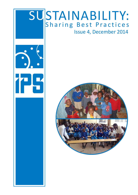

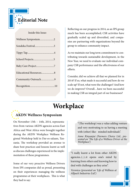

#### Inside this Issue:

| Wellness Symposium2 |
|---------------------|
| Sondeka Festival3   |
|                     |
|                     |
|                     |
|                     |
| Community Outreach9 |
|                     |

Reflecting on our progress in 2014, as an IPS group much has been accomplished; CSR activities have gradually scaled up and diversified, and companies are partnering with organizations beyond the group to enhance community impact.

As we maintain our long term commitment to contributing towards sustainable development, in the New Year, we need to evaluate our individual company CSR performance and the effectiveness of our efforts.

Consider, did we achieve all that we planned for in 2014? If so, what made it successful and how do we scale up? If not, what were the challenges? And how we do improve? Overall…have we been successful in making CSR an integral part of our businesses?

## **Workplace**

### **AKDN Wellness Symposium**

On November 13th – 14th, 2014, representatives from various AKDN agencies across East Africa and West Africa were brought together during the AKDN Workplace Wellness Regional Workshop held in Dar-es-salaam, Tanzania. The workshop provided an avenue to share best practices and lessons learnt as well as discuss challenges experienced in the implementation of these programmes.

Some of our very proactive Wellness Drivers from IPS companies did us proud, presenting on their experiences managing the wellness programmes at their workplaces. This is what they had to say:

"(The workshop) was a value adding venture and very motivating to us having a meeting with (other) like- minded individuals".

*Anne Kinyanjui (Farmers Choice Ltd., presented on 'The Life of a Wellness Driver at the Workplace')*

2

"I really learnt a lot from other AKDN agencies..(..)..it opens one's mind by learning from others and knowing how to deal with challenges as they arise".

*Veronica (presented on 'Life of Wellness at Allpack Industries Ltd.')*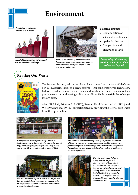### **Environment**

*Population growth rate continues to increase*



*Household consumption patterns and distribution channels change*



*Increase production of hazardous & nonhazardous waste continues to rise, requiring more collection, transport, disposal and treatment/ incineration.*

#### **Negative Impacts**

- Contamination of soils, water bodies, air
- Epidemic diseases
- Competition and disruption of land

*Recognising this daunting problem, what can we do to reduce our impact?*





The Sondeka Festival, held at the Ngong Race course from the 18th -20th October, 2014, describes itself as a 'create festival' – inspiring creativity in technology, fashion, visual art, music, dance, beauty and much more. In all these areas, they promote recycling and reusing ordinary, locally available materials that often get thrown away.

Alltex EPZ Ltd., Frigoken Ltd. (FKL), Premier Food Industries Ltd. (PFIL) and Wire Products Ltd. (WPL) all participated by providing the festival with waste from their production.



*Alltex gave lots of their fabric scraps, which the Sondeka team turned in to colorful triangular shaped flags, lined along the festival grounds. They show us how to give life to even the smallest scrap of fabric.*



*FKL provided broken wooden pallets, glass jars and metal cans, which were painted in vibrant colours and used in various waysfrom the stage structure to storage containers around the grounds. The pallets were also turned in to benches, stools and holders for the music equipment.*



*PFIL has lots of waste plastic bottles. At the festival, they were painted and tied along the wooden poles not only used as colourful decoration, but also used to strengthen the structure.*



*The wire waste from WPL was handy all over the festival. Some wire was utilized within art installations and sculptures themselves while others were used to hang up the various artworks. Part of the festival involved the audience creating their own art pieces and jewelry and the wire was used here as well.* 

3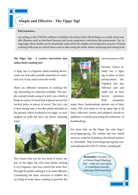### **Simple and Effective - The Tippy Tap!**

#### **Did you know....**

According to the UNICEF, millions of children die before their 5th birthday as a result of preventable illnesses such as diarrheal diseases and acute respiratory infections like pneumonia. Yet, intriguingly, these deaths can be drastically reduced by the simple and inexpensive practice of hand washing with soap at critical times such as after using the toilet, before preparing and eating food.

#### *The Tippy Tap - A creative innovation that makes hand washing fun!*

A tippy tap is a hygienic hand-washing device, made out of locally available materials at a minimal cost, if any, used across the world.

There are different variations to making this tap, depending on materials available. The simple concept entails using of a jerry can, which is hung on a piece of wood that is placed across two vertical poles or pieces of wood. The jerry can is then strung onto a wooden plank attached on the ground, which is placed at an angle, so once stepped on pulls the jerry can down, releasing water.



This means that you do not need to touch any part of the tippy tap with your hands, making it very hygienic, and you control the water flow through the pedal, making it very water efficient. Considering the basic structure it enables the recycling of waste items, making it good for the



environment as well.

Farmers Choice already has a tippy tap in place at their permaculture site. Frigoken has also followed suit and made one on their factory premises. Both companies

made these handwashing stations out of their waste. FKL now plans to set up tippy taps at all their collection centres and adopted schools in addition to actively promoting the behaviour of handwashing.

For more info. on the Tippy Tap visit: http:// www.tippytap.org. The website also has useful resource material including educational posters in Kiswahili: http://www.tippytap.org/wp-content/uploads/2011/03/TT-Poster\_Swahili.pdf

> **Remember:** October 15 is Global Hand Washing Day – what are your plans to contribute towards reducing child mortality?

> > 4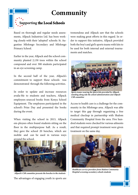## **Community**

# **Supporting the Local Schools**

Based on thorough and regular needs assessments, Allpack Industries Ltd. has been working closely with their 'adopted' schools: St. Augustine Mlolongo Secondary and Mlolongo Primary School.

Earlier in the year, Allpack and the school community planted 2,130 trees within the school compound and over 300 students participated in an eye screening camp.

In the second half of the year, Allpack's commitment to support these schools was demonstrated through the following activities.

In order to update and increase resources availa-ble to students and teachers, Allpack employees sourced books from Kenya School Equipment. The employees participated in the school's Prize Day and presented the books during the event.

When visiting the school in 2013, Allpack em-ployees often found students sitting on the floor in the multipurpose hall. As a result, they gave the school 20 benches, which are mobile and can be used in various ways around the school.



The advantages of engaging youth in sports are *Allpack's CSR committee presents the benches to the students*

tremendous and Allpack saw that the schools were making great efforts in this regard. In order to support this initiative, Allpack provided both the boy's and girl's sports teams with kits to be used for both internal and external tournaments and matches.



*Sports teams wearing the sports kits provided by Allpack, standing along side the school administration and Allpack CSR committee*

Access to health care is a challenge for the community in the Mlolongo area. Allpack was able to target this gap through organizing a free medical checkup in partnership with Shalom Community Hospital from the area. Five hundred students were checked for various ailments and that required prompt treatment were given treatment on the same day.



*Healthcare service providers from Shalom Community Hospital screening secondary schools students*

5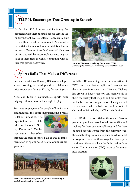# **TLLPPL Encourages Tree Growing in Schools**

In October, TLL Printing and Packaging Ltd. partnered with their 'adopted' school Temeke Secondary School, Dar-es-Salaam, Tanzania to plant trees within the school compound. As a result of the activity, the school has now established a club known as '*Friends of the Environment'*. Members of this club will be responsible for ensuring survival of these trees as well as continuing with future tree growing activities.



*Anzuruni Malisawa, Marketing Executive at TLLPPL, discussing the importance of ensuring survival of these trees.* 

## **Sports Balls That Make a Difference**

Leather Industries of Kenya (LIK) have developed a good working relationship with a social enterprise known as *Alive and Kicking* for over 8 years.

Alive and Kicking manufactures sports balls; helping children exercise their right to play.

To create employment for people of low income communities, the entire manufacturing process

is labour intensive. The organisaton has established workshops in Ghana, Kenya and Zambia that sustain themselves



through the sales of sports balls as well as implementation of sports-based health awareness programmes.



*Health awareness session facilitated prior to commencing a football match involving local youth*

Initially, LIK was doing both the lamination of PVC, cloth and leather splits and also cutting the laminates into panels. As Alive and Kicking has grown in-house capacity, LIK mainly sells to them the quality leather splits and promotes their footballs to various organizations locally as well as purchases their footballs for the LIK football club and individually by staff for their families.

Like LIK, there is potential for the other IPS companies to purchase these footballs from Alive and Kicking for their own football clubs and for their 'adopted schools'. Apart from the company logo, the social enterprise can also place an educational message such as a health message for disease prevention on the football – a fun Information Education Communication (IEC) resource for awareness creation!

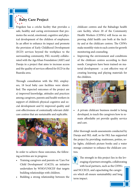**Baby Care Project**

Frigoken has a crèche facility that provides a safe, healthy and caring environment that promotes the social, emotional, cognitive and physical development of the children of employees. In an effort to enhance its impact and promote the provision of Early Childhood Development (ECD) services beyond the workplace to the surrounding community, FKL recently collaborated with the Aga Khan Foundation (AKF) and Daraja in a project that aims to increase access and the quality of services offered for ECD in the Ruaraka area.

Through consultation with the FKL employees, 18 local baby care facilities were identified. The expected outcomes of the project are a) improved knowledge, attitudes and practices among caregivers, parents and health workers in support of children's physical cognitive and social development and b) improved quality and cost-effectiveness of contextually relevant childcare centres that are sustainable and replicable.



In order to achieve these outcomes, the following activities are in progress:

- Training caregivers and parents on 'Care For Child Development' (C4CD); an initiative undertaken by WHO/UNICEF that targets building relationships with children.
- Building a strong relationship between the

childcare centres and the Babadogo health care facility, where 20 of the Community Health Workers (CHWs) will focus on improving child health care both at the facility and at the childcare centres. The CHWs make monthly visits to each centre for growth monitoring and counseling.

• Improving the environment and conditions of the childcare centres according to their needs. Caregivers have been trained on material development - a cost effective way of creating learning and playing materials for the children.



• A private childcare business model is being developed, to teach the caregivers how to remain affordable yet provide quality service and care.

After thorough needs assessments conducted by Daraja and FKL staff, so far FKL has supported the project by providing: mattresses, potties, solar lights, children's picture books and a water storage container to enhance the childcare centres.



The strength in this project lies in the leveraging of partners strengths, collaborating with local partners, such as the CHWs

7

and NCCECE, and capacitating the caregivers which all ensure sustainability and long term impact.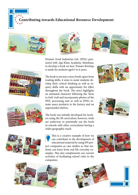**Contributing towards Educational Resource Development**





Premier Food Industries Ltd. (PFIL) partnered with Aga Khan Academy, Mombasa, to develop a book on how Tomato Ketchup is made for students aged 5 to 6 years.

The book is not just a story book; apart from reading skills, it aims to assist students develop their critical thinking as well as inquiry skills with an opportunity for Q&A throughout the book. The story highlights an animated character following the 'farm to fork' trail and incorporates photos of the PFIL processing unit as well as PFIL's tomato sauce products in the factory and on supermarket shelves.



ers using the IB curriculum; however, trials are underway to potentially use the book in schools with other curriculums having a wider geographic reach.

The book was initially developed for teach-

This is a creative example of how we can contribute to the development of educational material by using IPS project companies as case studies so that students can learn from real life everyday examples. This also complements our current activities of facilitating school visits to the companies.















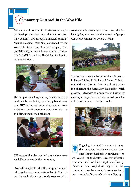# **Community Outreach in the West Nile**

For successful community initiatives, strategic partnerships are often key. This was successfully demonstrated through a medical camp at Nyapea Hospital, West Nile, conducted by the West Nile Rural Electrification Company Ltd. (WENRECO), Kampala Pharmaceuticals Industries Ltd. (KPI), the local Health Service Providers and the Media.



The camp included: registering patients with the local health care facility, measuring blood pressure, HIV testing and counseling, medical consultations, sensitization on various health issues and dispensing of medical drugs.



KPI ensured that the required medications were available at no cost to the community.

Over 700 people attended the camp, with medical consultations running from 8am to 9pm. In fact the medical team graciously volunteered to continue with screening and treatment the following day, at no cost, as the number of people was overwhelming for a one day camp.



The event was covered by the local media, namely Radio Paidha, Radio Pacis, Monitor Publication and New Vision. They were all very active in publicising the event a few days prior, which greatly assisted with community mobilization by creating widespread awareness, as well as acted as trustworthy source for the people.





Engaging local health care providers for this initiative has shown various benefits. The medical officers involved were

well versed with the health issues that affect the community and are able to target them directly. Using the local hospital and registering the community members under it promotes long term care and effective referral and follow up.